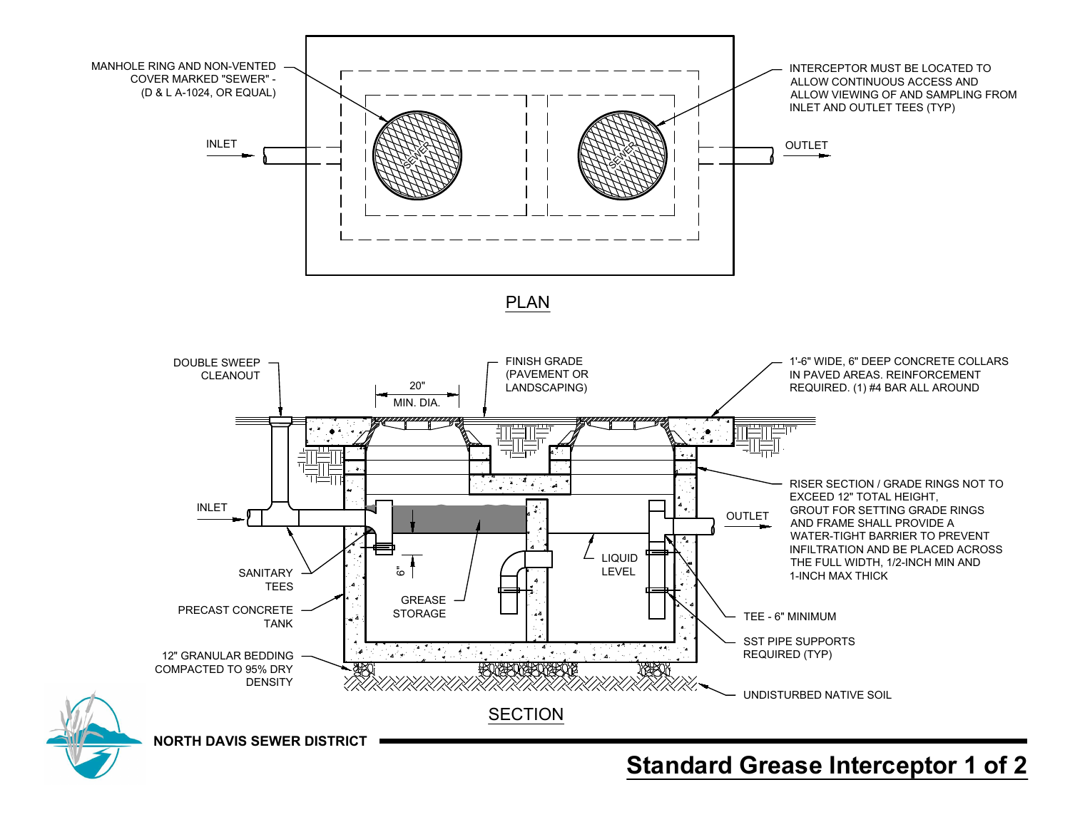